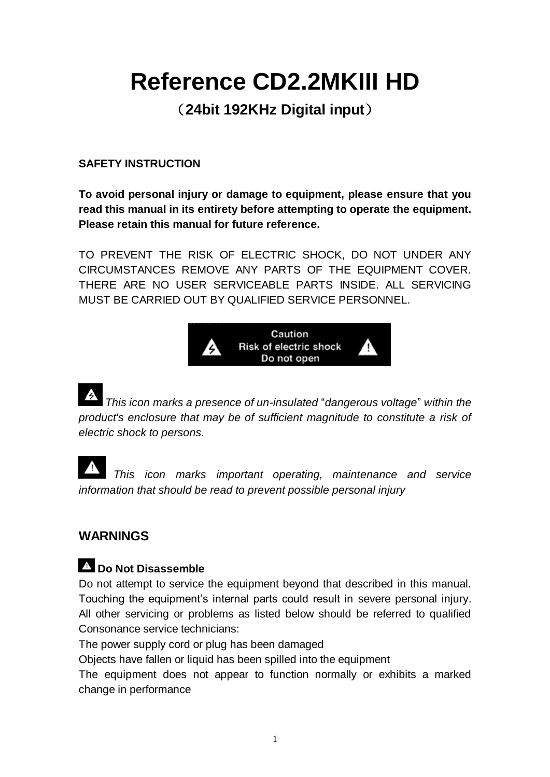# **Reference CD2.2MKIII HD**

(**24bit 192KHz Digital input**)

#### **SAFETY INSTRUCTION**

**To avoid personal injury or damage to equipment, please ensure that you read this manual in its entirety before attempting to operate the equipment. Please retain this manual for future reference.** 

TO PREVENT THE RISK OF ELECTRIC SHOCK, DO NOT UNDER ANY CIRCUMSTANCES REMOVE ANY PARTS OF THE EQUIPMENT COVER. THERE ARE NO USER SERVICEABLE PARTS INSIDE. ALL SERVICING MUST BE CARRIED OUT BY QUALIFIED SERVICE PERSONNEL.



*This icon marks a presence of un-insulated* "*dangerous voltage*" *within the product's enclosure that may be of sufficient magnitude to constitute a risk of electric shock to persons.*

*This icon marks important operating, maintenance and service information that should be read to prevent possible personal injury* 

# **WARNINGS**

# **Do Not Disassemble**

Do not attempt to service the equipment beyond that described in this manual. Touching the equipment's internal parts could result in severe personal injury. All other servicing or problems as listed below should be referred to qualified Consonance service technicians:

The power supply cord or plug has been damaged

Objects have fallen or liquid has been spilled into the equipment

The equipment does not appear to function normally or exhibits a marked change in performance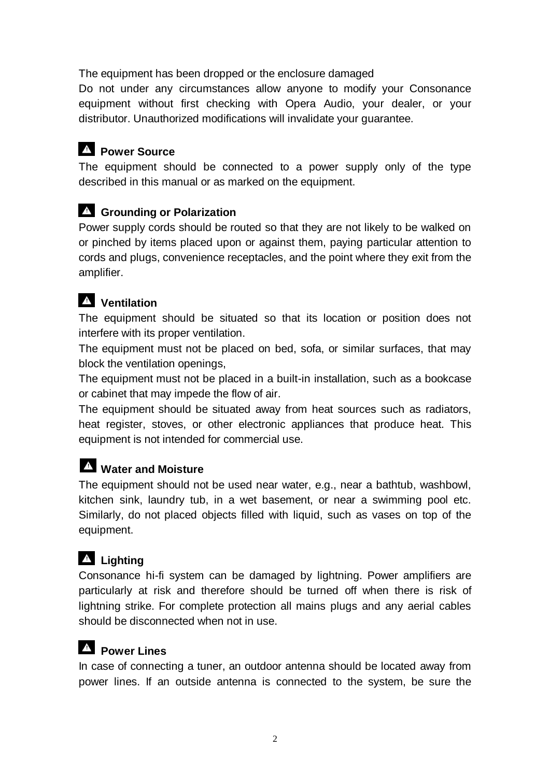The equipment has been dropped or the enclosure damaged

Do not under any circumstances allow anyone to modify your Consonance equipment without first checking with Opera Audio, your dealer, or your distributor. Unauthorized modifications will invalidate your guarantee.

# **Power Source**

The equipment should be connected to a power supply only of the type described in this manual or as marked on the equipment.

### **Grounding or Polarization**

Power supply cords should be routed so that they are not likely to be walked on or pinched by items placed upon or against them, paying particular attention to cords and plugs, convenience receptacles, and the point where they exit from the amplifier.

# **Ventilation**

The equipment should be situated so that its location or position does not interfere with its proper ventilation.

The equipment must not be placed on bed, sofa, or similar surfaces, that may block the ventilation openings,

The equipment must not be placed in a built-in installation, such as a bookcase or cabinet that may impede the flow of air.

The equipment should be situated away from heat sources such as radiators, heat register, stoves, or other electronic appliances that produce heat. This equipment is not intended for commercial use.

# **Water and Moisture**

The equipment should not be used near water, e.g., near a bathtub, washbowl, kitchen sink, laundry tub, in a wet basement, or near a swimming pool etc. Similarly, do not placed objects filled with liquid, such as vases on top of the equipment.

# **Lighting**

Consonance hi-fi system can be damaged by lightning. Power amplifiers are particularly at risk and therefore should be turned off when there is risk of lightning strike. For complete protection all mains plugs and any aerial cables should be disconnected when not in use.

# **Power Lines**

In case of connecting a tuner, an outdoor antenna should be located away from power lines. If an outside antenna is connected to the system, be sure the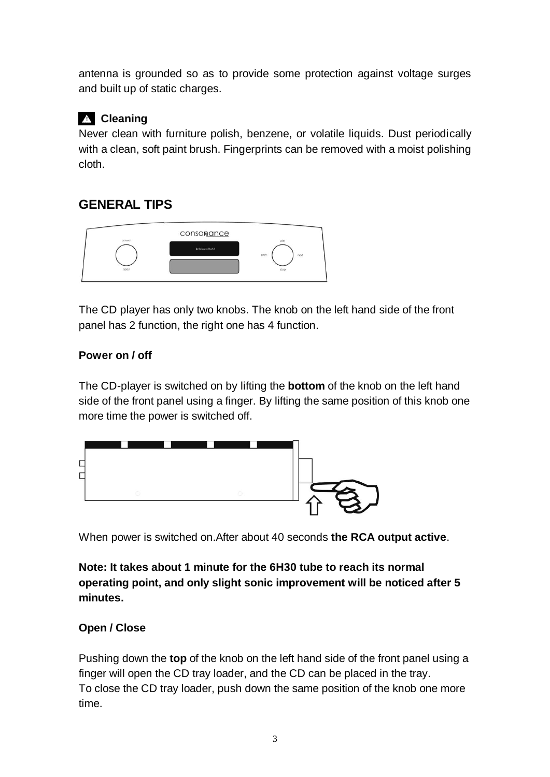antenna is grounded so as to provide some protection against voltage surges and built up of static charges.

# **Cleaning**

Never clean with furniture polish, benzene, or volatile liquids. Dust periodically with a clean, soft paint brush. Fingerprints can be removed with a moist polishing cloth.

# **GENERAL TIPS**



The CD player has only two knobs. The knob on the left hand side of the front panel has 2 function, the right one has 4 function.

#### **Power on / off**

The CD-player is switched on by lifting the **bottom** of the knob on the left hand side of the front panel using a finger. By lifting the same position of this knob one more time the power is switched off.



When power is switched on.After about 40 seconds **the RCA output active**.

**Note: It takes about 1 minute for the 6H30 tube to reach its normal operating point, and only slight sonic improvement will be noticed after 5 minutes.**

#### **Open / Close**

Pushing down the **top** of the knob on the left hand side of the front panel using a finger will open the CD tray loader, and the CD can be placed in the tray. To close the CD tray loader, push down the same position of the knob one more time.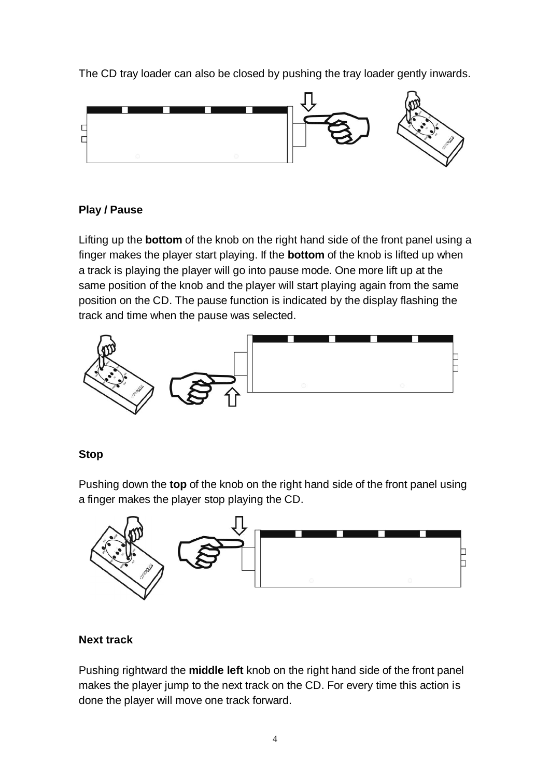The CD tray loader can also be closed by pushing the tray loader gently inwards.



#### **Play / Pause**

Lifting up the **bottom** of the knob on the right hand side of the front panel using a finger makes the player start playing. If the **bottom** of the knob is lifted up when a track is playing the player will go into pause mode. One more lift up at the same position of the knob and the player will start playing again from the same position on the CD. The pause function is indicated by the display flashing the track and time when the pause was selected.



#### **Stop**

Pushing down the **top** of the knob on the right hand side of the front panel using a finger makes the player stop playing the CD.



#### **Next track**

Pushing rightward the **middle left** knob on the right hand side of the front panel makes the player jump to the next track on the CD. For every time this action is done the player will move one track forward.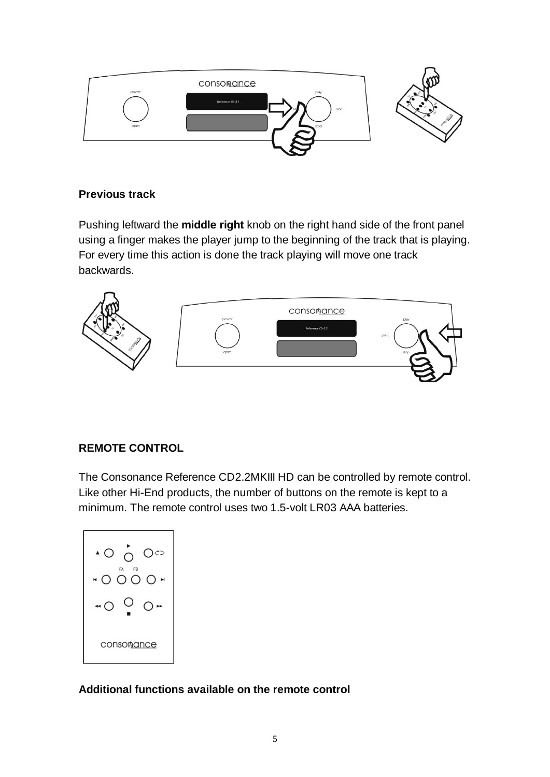

#### **Previous track**

Pushing leftward the **middle right** knob on the right hand side of the front panel using a finger makes the player jump to the beginning of the track that is playing. For every time this action is done the track playing will move one track backwards.



#### **REMOTE CONTROL**

The Consonance Reference CD2.2MKIII HD can be controlled by remote control. Like other Hi-End products, the number of buttons on the remote is kept to a minimum. The remote control uses two 1.5-volt LR03 AAA batteries.

$$
\begin{array}{c}\n\hline\n\text{10.6}\n\end{array}
$$
\n
$$
\begin{array}{c}\n\hline\n\text{20.6}\n\end{array}
$$
\n
$$
\begin{array}{c}\n\hline\n\text{30.6}\n\end{array}
$$
\n
$$
\begin{array}{c}\n\hline\n\text{40.0}\n\end{array}
$$
\n
$$
\begin{array}{c}\n\hline\n\text{50.0}\n\end{array}
$$
\n
$$
\begin{array}{c}\n\hline\n\text{60.0}\n\end{array}
$$
\n
$$
\begin{array}{c}\n\hline\n\text{60.0}\n\end{array}
$$
\n
$$
\begin{array}{c}\n\hline\n\text{60.0}\n\end{array}
$$
\n
$$
\begin{array}{c}\n\hline\n\text{60.0}\n\end{array}
$$

**Additional functions available on the remote control**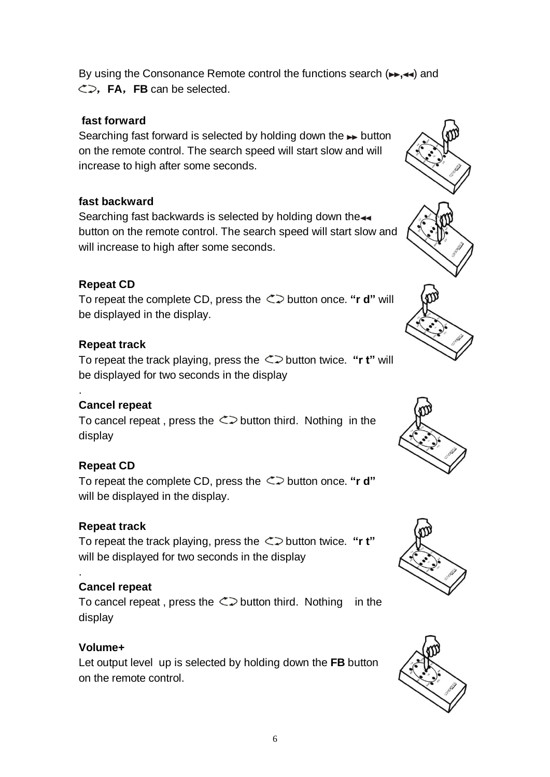By using the Consonance Remote control the functions search ( $\rightarrow$ , $\rightarrow$ ) and ,**FA**,**FB** can be selected.

#### **fast forward**

Searching fast forward is selected by holding down the  $\rightarrow$  button on the remote control. The search speed will start slow and will increase to high after some seconds.

#### **fast backward**

Searching fast backwards is selected by holding down the button on the remote control. The search speed will start slow and will increase to high after some seconds.

#### **Repeat CD**

To repeat the complete CD, press the  $\leq$  button once. "**r d**" will be displayed in the display.

#### **Repeat track**

To repeat the track playing, press the  $\leq$  button twice. "**r** t" will be displayed for two seconds in the display

#### **Cancel repeat**

.

.

To cancel repeat, press the  $\leq$  button third. Nothing in the display

#### **Repeat CD**

To repeat the complete CD, press the  $\leq$  button once. "**r d**" will be displayed in the display.

#### **Repeat track**

To repeat the track playing, press the  $\leq$  button twice. "**r** t" will be displayed for two seconds in the display

#### **Cancel repeat**

To cancel repeat, press the  $\leq$  button third. Nothing in the display

#### **Volume+**

Let output level up is selected by holding down the **FB** button on the remote control.







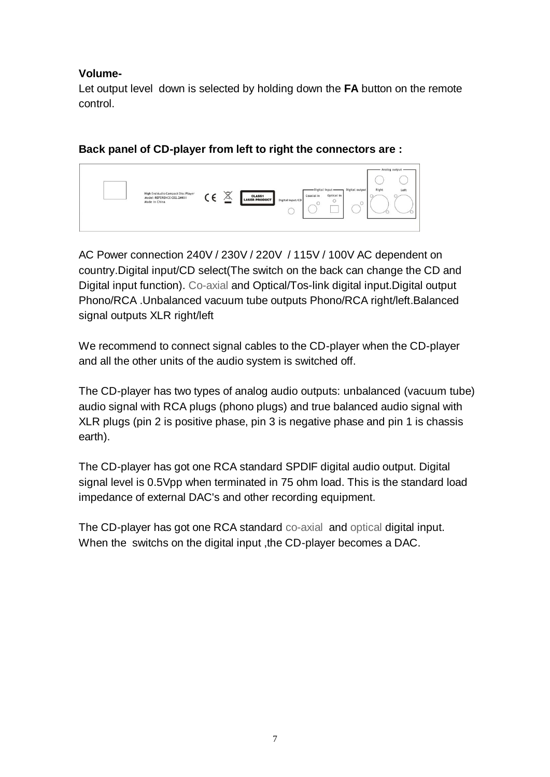#### **Volume-**

Let output level down is selected by holding down the **FA** button on the remote control.

**Back panel of CD-player from left to right the connectors are :**



AC Power connection 240V / 230V / 220V / 115V / 100V AC dependent on country.Digital input/CD select(The switch on the back can change the CD and Digital input function). Co-axial and Optical/Tos-link digital input.Digital output Phono/RCA .Unbalanced vacuum tube outputs Phono/RCA right/left.Balanced signal outputs XLR right/left

We recommend to connect signal cables to the CD-player when the CD-player and all the other units of the audio system is switched off.

The CD-player has two types of analog audio outputs: unbalanced (vacuum tube) audio signal with RCA plugs (phono plugs) and true balanced audio signal with XLR plugs (pin 2 is positive phase, pin 3 is negative phase and pin 1 is chassis earth).

The CD-player has got one RCA standard SPDIF digital audio output. Digital signal level is 0.5Vpp when terminated in 75 ohm load. This is the standard load impedance of external DAC's and other recording equipment.

The CD-player has got one RCA standard co-axial and optical digital input. When the switchs on the digital input ,the CD-player becomes a DAC.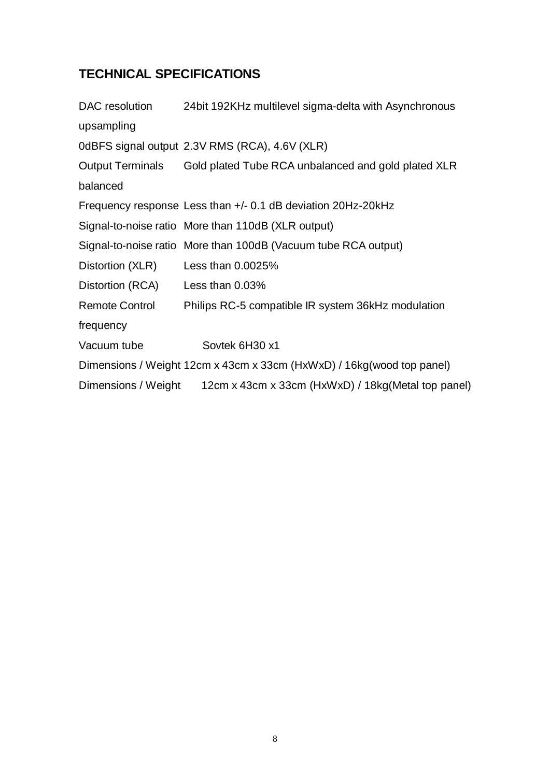# **TECHNICAL SPECIFICATIONS**

| DAC resolution          | 24 bit 192KHz multilevel sigma-delta with Asynchronous                 |
|-------------------------|------------------------------------------------------------------------|
| upsampling              |                                                                        |
|                         | 0dBFS signal output 2.3V RMS (RCA), 4.6V (XLR)                         |
| <b>Output Terminals</b> | Gold plated Tube RCA unbalanced and gold plated XLR                    |
| balanced                |                                                                        |
|                         | Frequency response Less than +/- 0.1 dB deviation 20Hz-20kHz           |
|                         | Signal-to-noise ratio More than 110dB (XLR output)                     |
|                         | Signal-to-noise ratio More than 100dB (Vacuum tube RCA output)         |
| Distortion (XLR)        | Less than 0.0025%                                                      |
| Distortion (RCA)        | Less than 0.03%                                                        |
| <b>Remote Control</b>   | Philips RC-5 compatible IR system 36kHz modulation                     |
| frequency               |                                                                        |
| Vacuum tube             | Sovtek 6H30 x1                                                         |
|                         | Dimensions / Weight 12cm x 43cm x 33cm (HxWxD) / 16kg (wood top panel) |
| Dimensions / Weight     | 12cm x 43cm x 33cm (HxWxD) / 18kg (Metal top panel)                    |